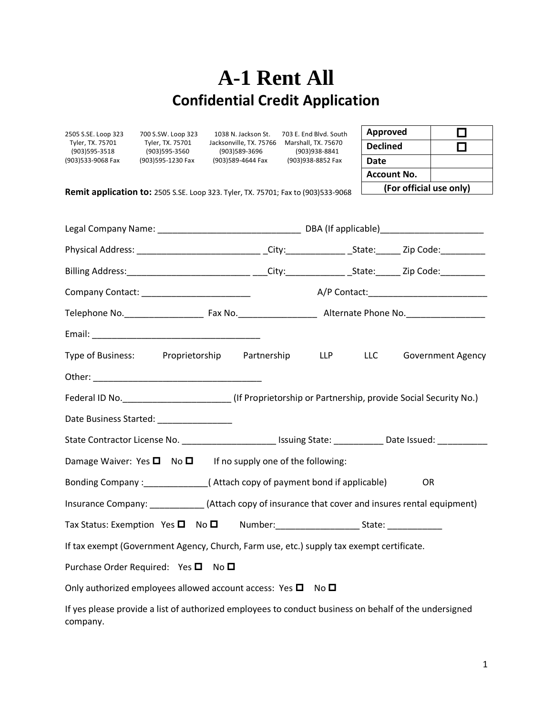## **A-1 Rent All Confidential Credit Application**

| 2505 S.SE. Loop 323                                                                                        | 700 S.SW. Loop 323<br>Tyler, TX. 75701<br>(903)595-3560 | 1038 N. Jackson St.<br>Jacksonville, TX. 75766<br>(903)589-3696 | 703 E. End Blvd. South<br>Marshall, TX. 75670<br>(903)938-8841                                                 | Approved                | $\Box$                   |  |  |  |
|------------------------------------------------------------------------------------------------------------|---------------------------------------------------------|-----------------------------------------------------------------|----------------------------------------------------------------------------------------------------------------|-------------------------|--------------------------|--|--|--|
| Tyler, TX. 75701<br>(903)595-3518                                                                          |                                                         |                                                                 |                                                                                                                | <b>Declined</b>         | □                        |  |  |  |
| (903)533-9068 Fax                                                                                          | (903)595-1230 Fax                                       | (903)589-4644 Fax                                               | (903)938-8852 Fax                                                                                              | <b>Date</b>             |                          |  |  |  |
|                                                                                                            |                                                         |                                                                 |                                                                                                                | <b>Account No.</b>      |                          |  |  |  |
|                                                                                                            |                                                         |                                                                 |                                                                                                                | (For official use only) |                          |  |  |  |
| <b>Remit application to:</b> 2505 S.SE. Loop 323. Tyler, TX. 75701; Fax to (903)533-9068                   |                                                         |                                                                 |                                                                                                                |                         |                          |  |  |  |
|                                                                                                            |                                                         |                                                                 | Physical Address: __________________________________City:____________________State:________Zip Code:__________ |                         |                          |  |  |  |
|                                                                                                            |                                                         |                                                                 | Billing Address: __________________________________City:__________________________Zip Code:_________           |                         |                          |  |  |  |
| Company Contact: _______________________________                                                           |                                                         |                                                                 |                                                                                                                |                         |                          |  |  |  |
|                                                                                                            |                                                         |                                                                 |                                                                                                                |                         |                          |  |  |  |
|                                                                                                            |                                                         |                                                                 |                                                                                                                |                         |                          |  |  |  |
| Type of Business: Proprietorship                                                                           |                                                         | Partnership                                                     | LLP                                                                                                            | LLC                     | <b>Government Agency</b> |  |  |  |
|                                                                                                            |                                                         |                                                                 |                                                                                                                |                         |                          |  |  |  |
| Federal ID No. ____________________________(If Proprietorship or Partnership, provide Social Security No.) |                                                         |                                                                 |                                                                                                                |                         |                          |  |  |  |
| Date Business Started: ________________                                                                    |                                                         |                                                                 |                                                                                                                |                         |                          |  |  |  |
| State Contractor License No. __________________________Issuing State: ____________Date Issued: ___________ |                                                         |                                                                 |                                                                                                                |                         |                          |  |  |  |
| Damage Waiver: Yes $\square$ No $\square$ If no supply one of the following:                               |                                                         |                                                                 |                                                                                                                |                         |                          |  |  |  |
| Bonding Company: _______________(Attach copy of payment bond if applicable)<br><b>OR</b>                   |                                                         |                                                                 |                                                                                                                |                         |                          |  |  |  |
| Insurance Company: ____________(Attach copy of insurance that cover and insures rental equipment)          |                                                         |                                                                 |                                                                                                                |                         |                          |  |  |  |
| Tax Status: Exemption Yes $\square$<br>No <sub>D</sub><br>Number:<br>State:                                |                                                         |                                                                 |                                                                                                                |                         |                          |  |  |  |
| If tax exempt (Government Agency, Church, Farm use, etc.) supply tax exempt certificate.                   |                                                         |                                                                 |                                                                                                                |                         |                          |  |  |  |
| Purchase Order Required: Yes □<br>No <sub>1</sub>                                                          |                                                         |                                                                 |                                                                                                                |                         |                          |  |  |  |
| Only authorized employees allowed account access: Yes $\Box$<br>No <sub>1</sub>                            |                                                         |                                                                 |                                                                                                                |                         |                          |  |  |  |
| company.                                                                                                   |                                                         |                                                                 | If yes please provide a list of authorized employees to conduct business on behalf of the undersigned          |                         |                          |  |  |  |